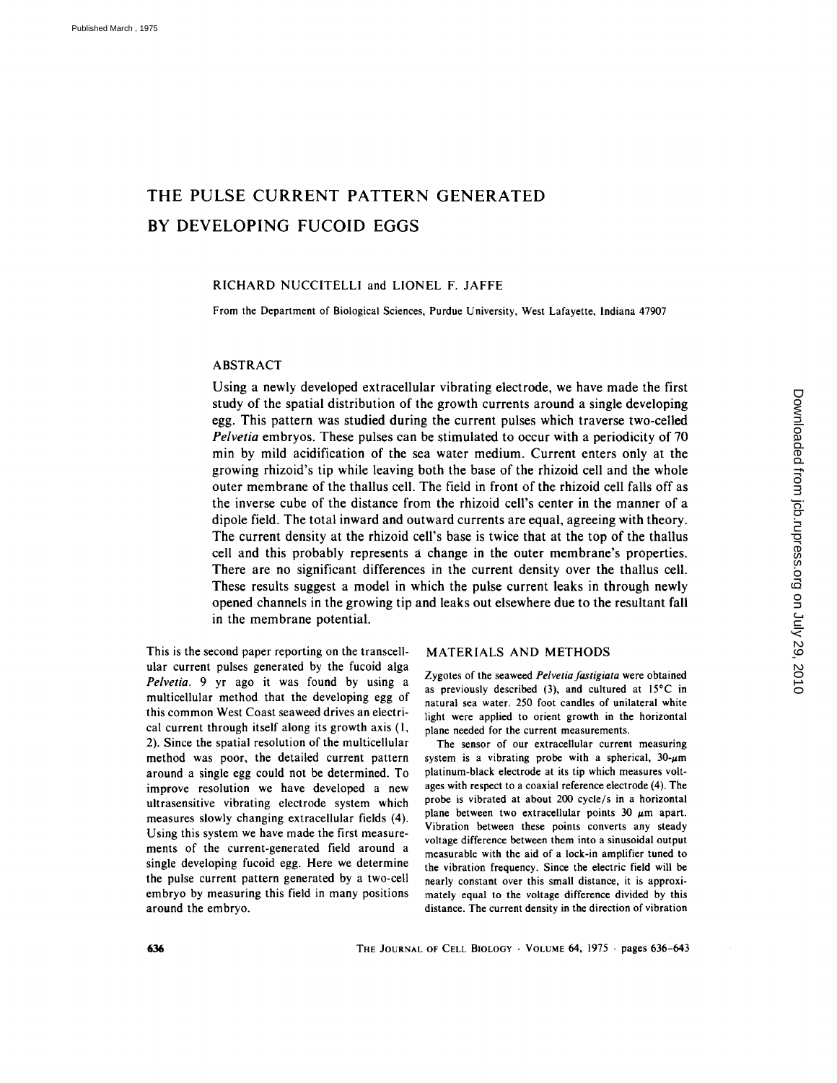# THE PULSE CURRENT PATTERN GENERATED BY DEVELOPING FUCOID EGGS

#### RICHARD NUCCITELLI and LIONEL F. JAFFE

From the Department of Biological Sciences, Purdue University, West Lafayette, Indiana 47907

#### ABSTRACT

Using a newly developed extracellular vibrating electrode, we have made the first study of the spatial distribution of the growth currents around a single developing egg. This pattern was studied during the current pulses which traverse two-celled *Pelvetia* embryos. These pulses can be stimulated to occur with a periodicity of 70 min by mild acidification of the sea water medium. Current enters only at the growing rhizoid's tip while leaving both the base of the rhizoid cell and the whole outer membrane of the thallus cell. The field in front of the rhizoid cell falls off as the inverse cube of the distance from the rhizoid cell's center in the manner of a dipole field. The total inward and outward currents are equal, agreeing with theory. The current density at the rhizoid cell's base is twice that at the top of the thallus cell and this probably represents a change in the outer membrane's properties. There are no significant differences in the current density over the thallus cell. These results suggest a model in which the pulse current leaks in through newly opened channels in the growing tip and leaks out elsewhere due to the resultant fall in the membrane potential.

This is the second paper reporting on the transcellular current pulses generated by the fucoid alga *Pelvetia.* 9 yr ago it was found by using a multicellular method that the developing egg of this common West Coast seaweed drives an electrical current through itself along its growth axis (1, 2). Since the spatial resolution of the multicellular method was poor, the detailed current pattern around a single egg could not be determined. To improve resolution we have developed a new ultrasensitive vibrating electrode system which measures slowly changing extracellular fields (4). Using this system we have made the first measurements of the current-generated field around a single developing fucoid egg. Here we determine the pulse current pattern generated by a two-cell embryo by measuring this field in many positions around the embryo.

#### MATERIALS AND METHODS

Zygotes of the seaweed *Pelvetiafastigiata* were obtained as previously described (3), and cultured at 15°C in natural sea water. 250 foot candles of unilateral white light were applied to orient growth in the horizontal plane needed for the current measurements.

The sensor of our extracellular current measuring system is a vibrating probe with a spherical,  $30-\mu m$ platinum-black electrode at its tip which measures voltages with respect to a coaxial reference electrode (4). The probe is vibrated at about 200 cycle/s in a horizontal plane between two extracellular points  $30 \mu m$  apart. Vibration between these points converts any steady voltage difference between them into a sinusoidal output measurable with the aid of a lock-in amplifier tuned to the vibration frequency. Since the electric field will be nearly constant over this small distance, it is approximately equal to the voltage difference divided by this distance. The current density in the direction of vibration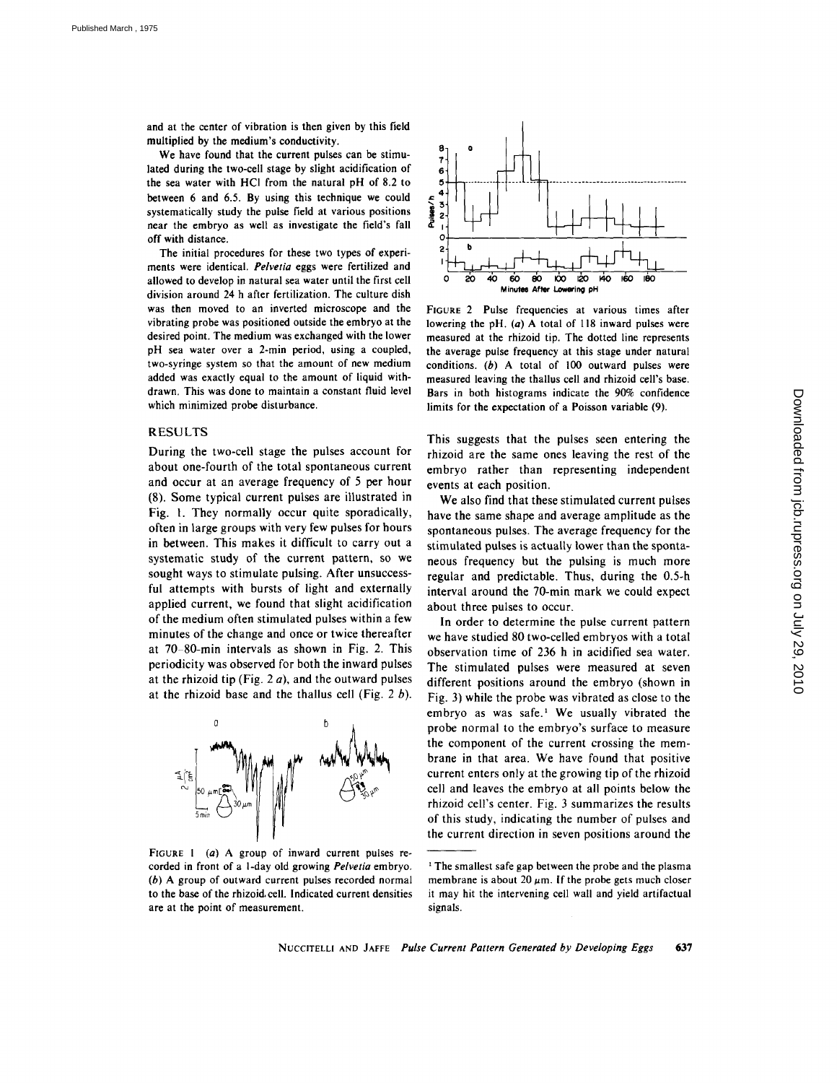and at the center of vibration is then given by this field multiplied by the medium's conductivity.

We have found that the current pulses can be stimulated during the two-cell stage by slight acidification of the sea water with HCI from the natural pH of 8.2 to between 6 and 6.5. By using this technique we could systematically study the pulse field at various positions near the embryo as well as investigate the field's fall off with distance.

The initial procedures for these two types of experiments were identical. *Pelvetia* eggs were fertilized and allowed to develop in natural sea water until the first cell division around 24 h after fertilization. The culture dish was then moved to an inverted microscope and the vibrating probe was positioned outside the embryo at the desired point. The medium was exchanged with the lower pH sea water over a 2-min period, using a coupled, two-syringe system so that the amount of new medium added was exactly equal to the amount of liquid withdrawn. This was done to maintain a constant fluid level which minimized probe disturbance.

## RESULTS

During the two-cell stage the pulses account for about one-fourth of the total spontaneous current and occur at an average frequency of 5 per hour (8). Some typical current pulses are illustrated in Fig. 1. They normally occur quite sporadically, often in large groups with very few pulses for hours in between. This makes it difficult to carry out a systematic study of the current pattern, so we sought ways to stimulate pulsing. After unsuccessful attempts with bursts of light and externally applied current, we found that slight acidification of the medium often stimulated pulses within a few minutes of the change and once or twice thereafter at  $70-80$ -min intervals as shown in Fig. 2. This periodicity was observed for both the inward pulses at the rhizoid tip (Fig. 2  $a$ ), and the outward pulses at the rhizoid base and the thallus cell (Fig.  $2 b$ ).



FIGURE  $1$  (a) A group of inward current pulses recorded in front of a I-day old growing *Pelvetia* embryo. (b) A group of outward current pulses recorded normal to the base of the rhizoid.cell. Indicated current densities are at the point of measurement.



FIGURE 2 Pulse frequencies at various times after lowering the pH. (a) A total of 118 inward pulses were measured at the rhizoid tip. The dotted line represents the average pulse frequency at this stage under natural conditions. (b) A total of 100 outward pulses were measured leaving the thallus cell and rhizoid cell's base. Bars in both histograms indicate the 90% confidence limits for the expectation of a Poisson variable (9).

This suggests that the pulses seen entering the rhizoid are the same ones leaving the rest of the embryo rather than representing independent events at each position.

We also find that these stimulated current pulses have the same shape and average amplitude as the spontaneous pulses. The average frequency for the stimulated pulses is actually lower than the spontaneous frequency but the pulsing is much more regular and predictable. Thus, during the 0.5-h interval around the 70-min mark we could expect about three pulses to occur.

In order to determine the pulse current pattern we have studied 80 two-celled embryos with a total observation time of 236 h in acidified sea water. The stimulated pulses were measured at seven different positions around the embryo (shown in Fig. 3) while the probe was vibrated as close to the embryo as was safe.<sup> $1$ </sup> We usually vibrated the probe normal to the embryo's surface to measure the component of the current crossing the membrane in that area. We have found that positive current enters only at the growing tip of the rhizoid cell and leaves the embryo at all points below the rhizoid cell's center. Fig. 3 summarizes the results of this study, indicating the number of pulses and the current direction in seven positions around the

<sup>&</sup>lt;sup>1</sup> The smallest safe gap between the probe and the plasma membrane is about 20  $\mu$ m. If the probe gets much closer it may hit the intervening cell wall and yield artifactual signals.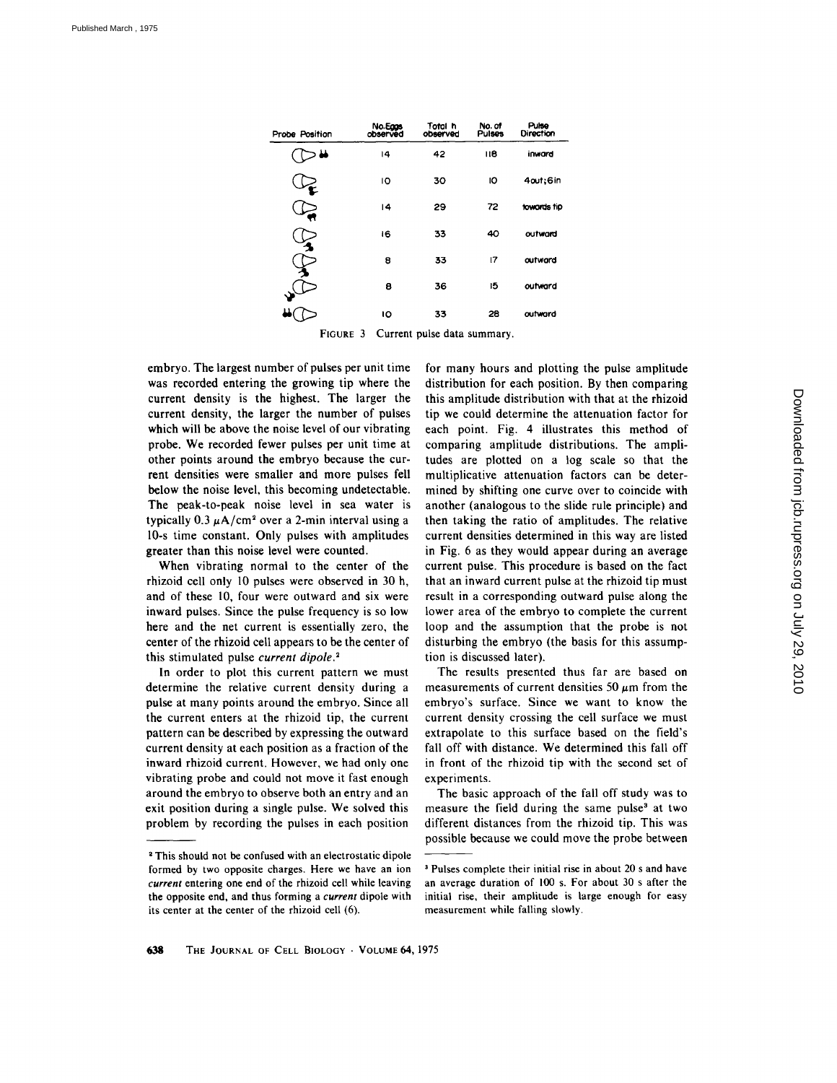| Probe Position | No.Eggs<br>observed | Total h<br>observed | No. of<br>Pulses | Pulse<br>Direction |
|----------------|---------------------|---------------------|------------------|--------------------|
| щ              | 14                  | 42                  | ΠВ               | inward             |
|                | 10                  | 30                  | 10               | 4out;6in           |
|                | 14                  | 29                  | 72               | towards tip        |
|                | 16                  | 33                  | 40               | outward            |
|                | 8                   | 33                  | $\overline{17}$  | outward            |
|                | 8                   | 36                  | 15               | outward            |
|                | 10                  | 33                  | 28               | outward            |

FIGURE 3 Current pulse data summary.

embryo. The largest number of pulses per unit time was recorded entering the growing tip where the current density is the highest. The larger the current density, the larger the number of pulses which will be above the noise level of our vibrating probe. We recorded fewer pulses per unit time at other points around the embryo because the current densities were smaller and more pulses fell below the noise level, this becoming undetectable. The peak-to-peak noise level in sea water is typically  $0.3 \mu A/cm^2$  over a 2-min interval using a 10-s time constant. Only pulses with amplitudes greater than this noise level were counted.

When vibrating normal to the center of the rhizoid cell only 10 pulses were observed in 30 h, and of these 10, four were outward and six were inward pulses. Since the pulse frequency is so low here and the net current is essentially zero, the center of the rhizoid cell appears to be the center of this stimulated pulse *current dipole. 2* 

In order to plot this current pattern we must determine the relative current density during a pulse at many points around the embryo. Since all the current enters at the rhizoid tip, the current pattern can be described by expressing the outward current density at each position as a fraction of the inward rhizoid current. However, we had only one vibrating probe and could not move it fast enough around the embryo to observe both an entry and an exit position during a single pulse. We solved this problem by recording the pulses in each position

for many hours and plotting the pulse amplitude distribution for each position. By then comparing this amplitude distribution with that at the rhizoid tip we could determine the attenuation factor for each point. Fig. 4 illustrates this method of comparing amplitude distributions. The amplitudes are plotted on a log scale so that the multiplicative attenuation factors can be determined by shifting one curve over to coincide with another (analogous to the slide rule principle) and then taking the ratio of amplitudes. The relative current densities determined in this way are listed in Fig. 6 as they would appear during an average current pulse. This procedure is based on the fact that an inward current pulse at the rhizoid tip must result in a corresponding outward pulse along the lower area of the embryo to complete the current loop and the assumption that the probe is not disturbing the embryo (the basis for this assumption is discussed later).

The results presented thus far are based on measurements of current densities 50  $\mu$ m from the embryo's surface. Since we want to know the current density crossing the cell surface we must extrapolate to this surface based on the field's fall off with distance. We determined this fall off in front of the rhizoid tip with the second set of experiments.

The basic approach of the fall off study was to measure the field during the same pulse<sup>3</sup> at two different distances from the rhizoid tip. This was possible because we could move the probe between

<sup>2</sup> This should not be confused with an electrostatic dipole formed by two opposite charges. Here we have an ion *current* entering one end of the rhizoid cell while leaving the opposite end, and thus forming a *current* dipole with its center at the center of the rhizoid cell (6).

<sup>3</sup> Pulses complete their initial rise in about 20 s and have an average duration of 100 s. For about 30 s after the initial rise, their amplitude is large enough for easy measurement while falling slowly.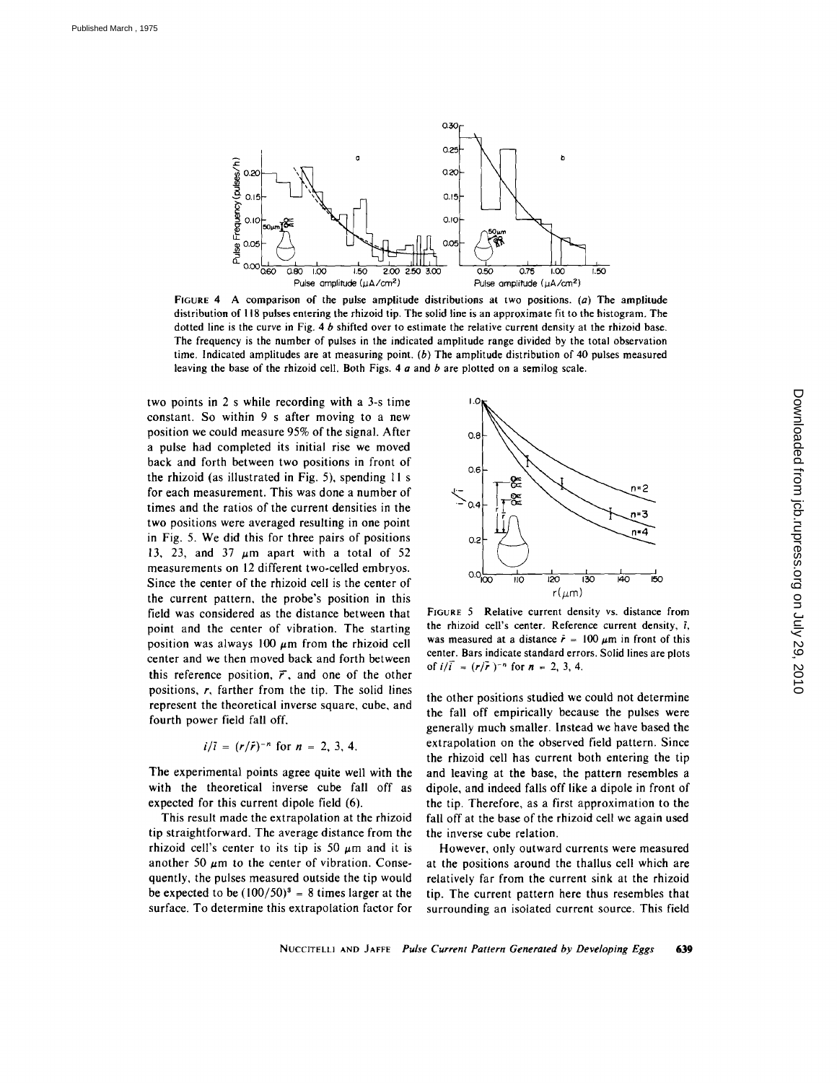

FIGURE 4 A comparison of the pulse amplitude distributions at two positions. (a) The amplitude distribution of 118 pulses entering the rhizoid tip. The solid line is an approximate fit to the histogram, The dotted line is the curve in Fig. 4 b shifted over to estimate the relative current density at the rhizoid base. The frequency is the number of pulses in the indicated amplitude range divided by the total observation time. Indicated amplitudes are at measuring point.  $(b)$  The amplitude distribution of 40 pulses measured leaving the base of the rhizoid cell. Both Figs.  $4a$  and  $b$  are plotted on a semilog scale.

two points in 2 s while recording with a 3-s time constant. So within 9 s after moving to a new position we could measure 95% of the signal. After a pulse had completed its initial rise we moved back and forth between two positions in front of the rhizoid (as illustrated in Fig. 5), spending 11 s **for** each measurement. This was done a number of times and the ratios of the current densities in the two positions were averaged resulting in one point in Fig. 5. We did this for three pairs of positions 13, 23, and 37  $\mu$ m apart with a total of 52 measurements on 12 different two-celled embryos. Since the center of the rhizoid cell is the center of the current pattern, the probe's position in this field was considered as the distance between that point and the center of vibration. The starting position was always 100  $\mu$ m from the rhizoid cell center and we then moved back and forth between this reference position,  $\vec{r}$ , and one of the other positions, r, farther from the tip. The solid lines represent the theoretical inverse square, cube, and fourth power field fall off.

$$
i/\bar{i} = (r/\bar{r})^{-n}
$$
 for  $n = 2, 3, 4$ .

The experimental points agree quite well with the with the theoretical inverse cube fall off as expected for this current dipole field (6).

This result made the extrapolation at the rhizoid tip straightforward. The average distance from the rhizoid cell's center to its tip is 50  $\mu$ m and it is another 50  $\mu$ m to the center of vibration. Consequently, the pulses measured outside the tip would be expected to be  $(100/50)^3 = 8$  times larger at the surface. To determine this extrapolation factor for



FIGURE 5 Relative current density vs. distance from the rhizoid cell's center. Reference current density, i, was measured at a distance  $\bar{r} = 100 \ \mu \text{m}$  in front of this center. Bars indicate standard errors. Solid lines are plots of  $i/\overline{i} = (r/\overline{r})^{-n}$  for  $n = 2, 3, 4$ .

the other positions studied we could not determine the fall off empirically because the pulses were generally much smaller. Instead we have based the extrapolation on the observed field pattern. Since the rhizoid cell has current both entering the tip and leaving at the base, the pattern resembles a dipole, and indeed falls off like a dipole in front of the tip. Therefore, as a first approximation to the fall off at the base of the rhizoid cell we again used the inverse cube relation.

However, only outward currents were measured at the positions around the thallus cell which are relatively far from the current sink at the rhizoid tip. The current pattern here thus resembles that surrounding an isolated current source. This field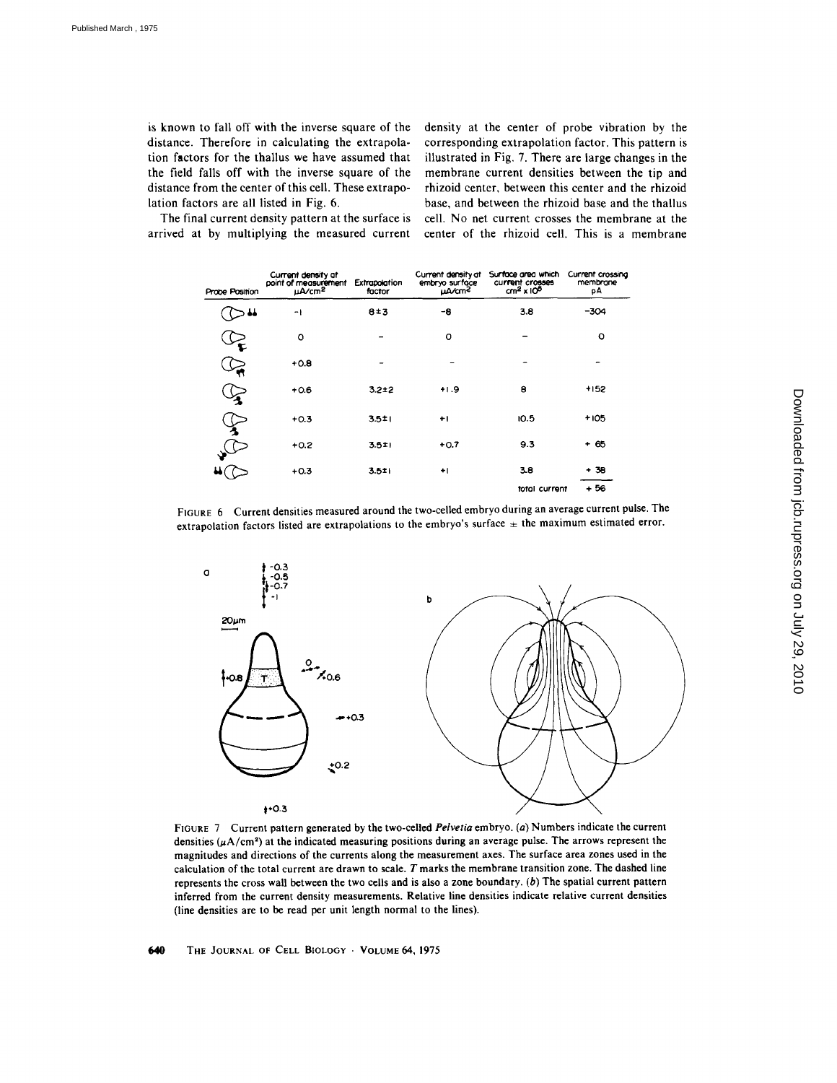is known to fall off with the inverse square of the distance. Therefore in calculating the extrapolation factors for the thallus we have assumed that the field falls off with the inverse square of the distance from the center of this cell. These extrapolation factors are all listed in Fig. 6.

density at the center of probe vibration by the corresponding extrapolation factor. This pattern is illustrated in Fig. 7. There are large changes in the membrane current densities between the tip and rhizoid center, between this center and the rhizoid base, and between the rhizoid base and the thallus cell. No net current crosses the membrane at the center of the rhizoid cell. This is a membrane

The final current density pattern at the surface is arrived at by multiplying the measured current

| Probe Position | Current density at<br>point of measurement<br>$\mu$ A/cm <sup>2</sup> | Extrapolation<br>factor | Current density at<br>embryo surface<br>uA/cm <sup>2</sup> | Surface area which<br>current crosses<br>$cm2$ x $105$ | Current crossing<br>membrane<br>рA |
|----------------|-----------------------------------------------------------------------|-------------------------|------------------------------------------------------------|--------------------------------------------------------|------------------------------------|
| 44             | ۰ı                                                                    | 8±3                     | -8                                                         | 3.8                                                    | $-304$                             |
|                | $\circ$                                                               |                         | O                                                          |                                                        | $\circ$                            |
|                | $+0.8$                                                                |                         |                                                            |                                                        |                                    |
|                | $+0.6$                                                                | $3.2 \pm 2$             | $+1.9$                                                     | 8                                                      | +152                               |
|                | $+0.3$                                                                | 3.511                   | $^{\ast}$                                                  | 10.5                                                   | $+105$                             |
|                | $+0.2$                                                                | $3.5+1$                 | $+0.7$                                                     | 9.3                                                    | + 65                               |
|                | $+0.3$                                                                | 3.511                   | $+1$                                                       | 3.8                                                    | $+38$                              |
|                |                                                                       |                         |                                                            | total current                                          | $+56$                              |

FIGURE 6 Current densities measured around the two-celled embryo during an average current pulse. The extrapolation factors listed are extrapolations to the embryo's surface  $\pm$  the maximum estimated error.



FIGURE 7 Current pattern generated by the two-celled *Pelvetia* embryo. (a) Numbers indicate the current densities ( $\mu A/cm^2$ ) at the indicated measuring positions during an average pulse. The arrows represent the magnitudes and directions of the currents along the measurement axes. The surface area zones used in the calculation of the total current are drawn to scale. T marks the membrane transition zone. The dashed line represents the cross wall between the two cells and is also a zone boundary. (b) The spatial current pattern inferred from the current density measurements. Relative line densities indicate relative current densities (line densities are to be read per unit length normal to the lines).

640 THE JOURNAL OF CELL BIOLOGY · VOLUME 64, 1975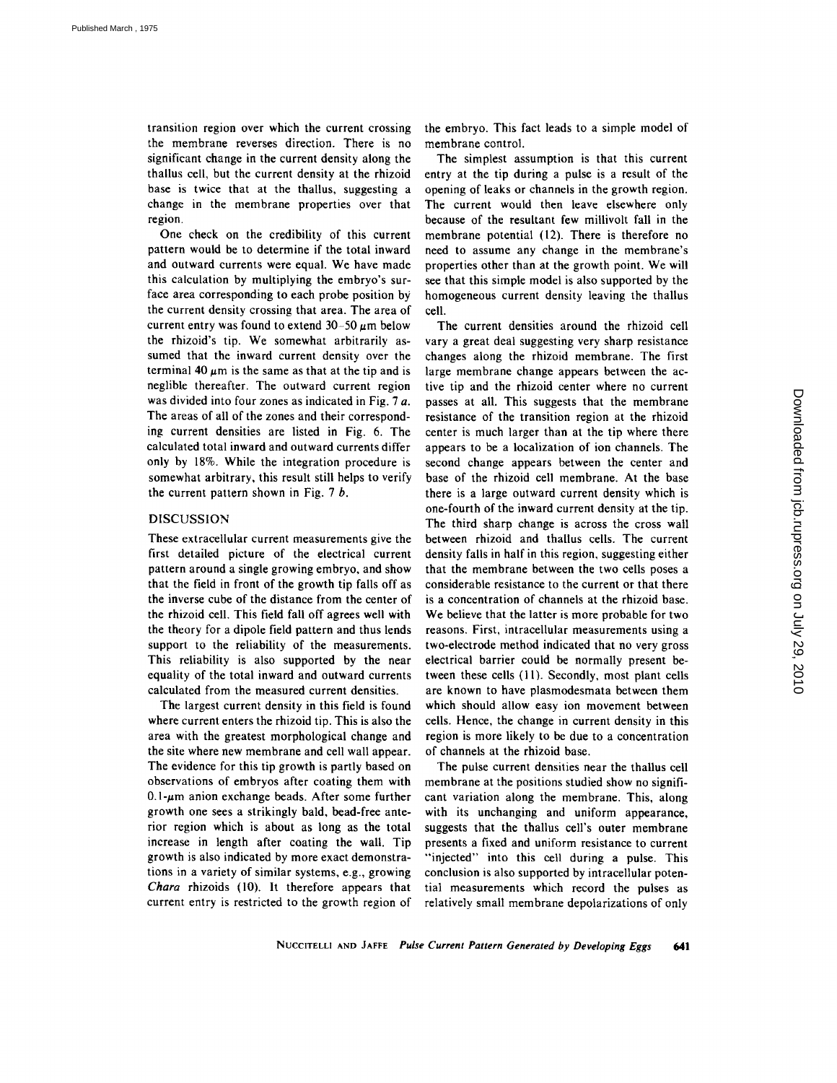transition region over which the current crossing the membrane reverses direction. There is no significant change in the current density along the thallus cell, but the current density at the rhizoid base is twice that at the thallus, suggesting a change in the membrane properties over that region.

One check on the credibility of this current pattern would be to determine if the total inward and outward currents were equal. We have made this calculation by multiplying the embryo's surface area corresponding to each probe position by the current density crossing that area. The area of current entry was found to extend  $30-50 \mu m$  below the rhizoid's tip. We somewhat arbitrarily assumed that the inward current density over the terminal 40  $\mu$ m is the same as that at the tip and is neglible thereafter. The outward current region was divided into four zones as indicated in Fig. 7 a. The areas of all of the zones and their corresponding current densities are listed in Fig. 6. The calculated total inward and outward currents differ only by 18%. While the integration procedure is somewhat arbitrary, this result still helps to verify the current pattern shown in Fig. 7 b.

# DISCUSSION

These extracellular current measurements give the first detailed picture of the electrical current pattern around a single growing embryo, and show that the field in front of the growth tip falls off as the inverse cube of the distance from the center of the rhizoid cell, This field fall off agrees well with the theory for a dipole field pattern and thus lends support to the reliability of the measurements. This reliability is also supported by the near equality of the total inward and outward currents calculated from the measured current densities.

The largest current density in this field is found where current enters the rhizoid tip. This is also the area with the greatest morphological change and the site where new membrane and cell wall appear. The evidence for this tip growth is partly based on observations of embryos after coating them with  $0.1$ - $\mu$ m anion exchange beads. After some further growth one sees a strikingly bald, bead-free anterior region which is about as long as the total increase in length after coating the wall. Tip growth is also indicated by more exact demonstrations in a variety of similar systems, e.g., growing *Chara* rhizoids (10). It therefore appears that current entry is restricted to the growth region of

the embryo. This fact leads to a simple model of membrane control.

The simplest assumption is that this current entry at the tip during a pulse is a result of the opening of leaks or channels in the growth region. The current would then leave elsewhere only because of the resultant few millivolt fall in the membrane potential (12). There is therefore no need to assume any change in the membrane's properties other than at the growth point. We will see that this simple model is also supported by the homogeneous current density leaving the thallus cell.

The current densities around the rhizoid cell vary a great deal suggesting very sharp resistance changes along the rhizoid membrane. The first large membrane change appears between the active tip and the rhizoid center where no current passes at all. This suggests that the membrane resistance of the transition region at the rhizoid center is much larger than at the tip where there appears to be a localization of ion channels. The second change appears between the center and base of the rhizoid cell membrane. At the base there is a large outward current density which is one-fourth of the inward current density at the tip. The third sharp change is across the cross wall between rhizoid and thallus cells. The current density falls in half in this region, suggesting either that the membrane between the two cells poses a considerable resistance to the current or that there is a concentration of channels at the rhizoid base. We believe that the latter is more probable for two reasons. First, intracellular measurements using a two-electrode method indicated that no very gross electrical barrier could be normally present between these cells  $(11)$ . Secondly, most plant cells are known to have plasmodesmata between them which should allow easy ion movement between cells. Hence, the change in current density in this region is more likely to be due to a concentration of channels at the rhizoid base.

The pulse current densities near the thallus cell membrane at the positions studied show no significant variation along the membrane. This, along with its unchanging and uniform appearance, suggests that the thallus cell's outer membrane presents a fixed and uniform resistance to current "injected" into this cell during a pulse. This conclusion is also supported by intracellular potential measurements which record the pulses as relatively small membrane depolarizations of only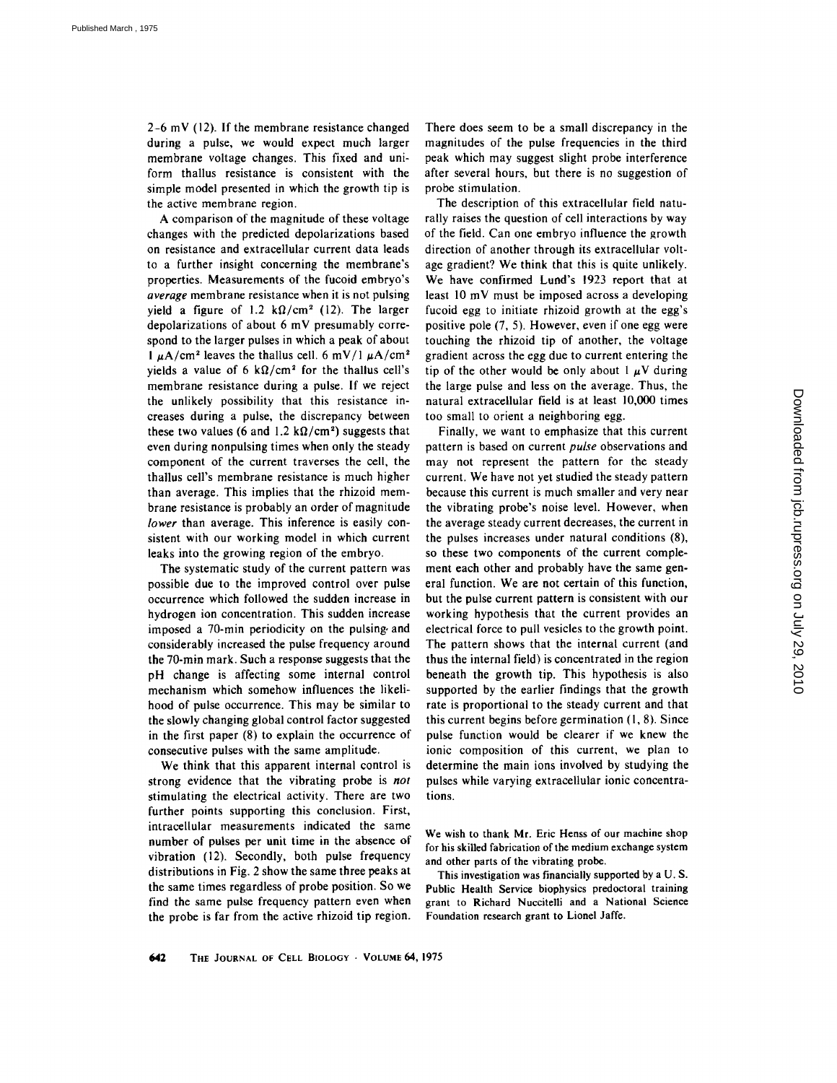2-6 mV (12). If the membrane resistance changed during a pulse, we would expect much larger membrane voltage changes. This fixed and uniform thallus resistance is consistent with the simple model presented in which the growth tip is the active membrane region.

A comparison of the magnitude of these voltage changes with the predicted depolarizations based on resistance and extracellular current data leads to a further insight concerning the membrane's properties. Measurements of the fucoid embryo's *average* membrane resistance when it is not pulsing yield a figure of 1.2  $k\Omega/cm^2$  (12). The larger depolarizations of about 6 mV presumably correspond to the larger pulses in which a peak of about  $1 \mu A/cm^2$  leaves the thallus cell. 6 mV/1  $\mu A/cm^2$ yields a value of 6 k $\Omega$ /cm<sup>2</sup> for the thallus cell's membrane resistance during a pulse. If we reject the unlikely possibility that this resistance increases during a pulse, the discrepancy between these two values (6 and 1.2 k $\Omega$ /cm<sup>2</sup>) suggests that even during nonpulsing times when only the steady component of the current traverses the cell, the thallus cell's membrane resistance is much higher than average. This implies that the rhizoid membrane resistance is probably an order of magnitude *lower* than average. This inference is easily consistent with our working model in which current leaks into the growing region of the embryo.

The systematic study of the current pattern was possible due to the improved control over pulse occurrence which followed the sudden increase in hydrogen ion concentration. This sudden increase imposed a 70-min periodicity on the pulsing and considerably increased the pulse frequency around the 70-min mark. Such a response suggests that the pH change is affecting some internal control mechanism which somehow influences the likelihood of pulse occurrence. This may be similar to the slowly changing global control factor suggested in the first paper (8) to explain the occurrence of consecutive pulses with the same amplitude.

We think that this apparent internal control is strong evidence that the vibrating probe is *not*  stimulating the electrical activity. There are two further points supporting this conclusion. First, intracellular measurements indicated the same number of pulses per unit time in the absence of vibration (12). Secondly, both pulse frequency distributions in Fig. 2 show the same three peaks at the same times regardless of probe position. So we find the same pulse frequency pattern even when the probe is far from the active rhizoid tip region. There does seem to be a small discrepancy in the magnitudes of the pulse frequencies in the third peak which may suggest slight probe interference after several hours, but there is no suggestion of probe stimulation.

The description of this extracellular field naturally raises the question of cell interactions by way of the field. Can one embryo influence the growth direction of another through its extracellular voltage gradient? We think that this is quite unlikely. We have confirmed Lund's 1923 report that at least 10 mV must be imposed across a developing fucoid egg to initiate rhizoid growth at the egg's positive pole (7, 5). However, even if one egg were touching the rhizoid tip of another, the voltage gradient across the egg due to current entering the tip of the other would be only about  $1 \mu V$  during the large pulse and less on the average. Thus, the natural extracellular field is at least 10,000 times too small to orient a neighboring egg.

Finally, we want to emphasize that this current pattern is based on current *pulse* observations and may not represent the pattern for the steady current. We have not yet studied the steady pattern because this current is much smaller and very near the vibrating probe's noise level. However, when the average steady current decreases, the current in the pulses increases under natural conditions (8), so these two components of the current complement each other and probably have the same general function. We are not certain of this function, but the pulse current pattern is consistent with our working hypothesis that the current provides an electrical force to pull vesicles to the growth point. The pattern shows that the internal current (and thus the internal field) is concentrated in the region beneath the growth tip. This hypothesis is also supported by the earlier findings that the growth rate is proportional to the steady current and that this current begins before germination (I, 8). Since pulse function would be clearer if we knew the ionic composition of this current, we plan to determine the main ions involved by studying the pulses while varying extracellular ionic concentrations.

We wish to thank Mr. Eric Henss of our machine shop for his skilled fabrication of the medium exchange system and other parts of the vibrating probe.

This investigation was financially supported by a U. S. Public Health Service biophysics predoctoral training grant to Richard Nuccitelli and a National Science Foundation research grant to Lionel Jaffe.